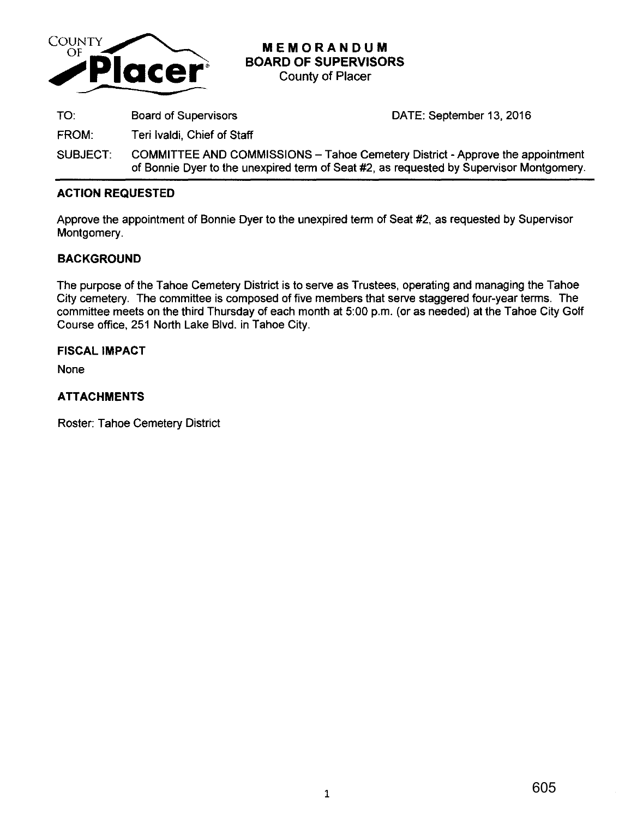

# **MEMORANDUM BOARD OF SUPERVISORS**

County of Placer

TO: Board of Supervisors DATE: September 13, 2016

FROM: Teri lvaldi, Chief of Staff

SUBJECT: COMMITTEE AND COMMISSIONS- Tahoe Cemetery District· Approve the appointment of Bonnie Dyer to the unexpired term of Seat #2, as requested by Supervisor Montgomery.

# **ACTION REQUESTED**

Approve the appointment of Bonnie Dyer to the unexpired term of Seat #2, as requested by Supervisor Montgomery.

# **BACKGROUND**

The purpose of the Tahoe Cemetery District is to serve as Trustees, operating and managing the Tahoe City cemetery. The committee is composed of five members that serve staggered four-year terms. The committee meets on the third Thursday of each month at 5:00 p.m. (or as needed) at the Tahoe City Golf Course office, 251 North Lake Blvd. in Tahoe City.

## **FISCAL IMPACT**

None

# **ATTACHMENTS**

Roster: Tahoe Cemetery District